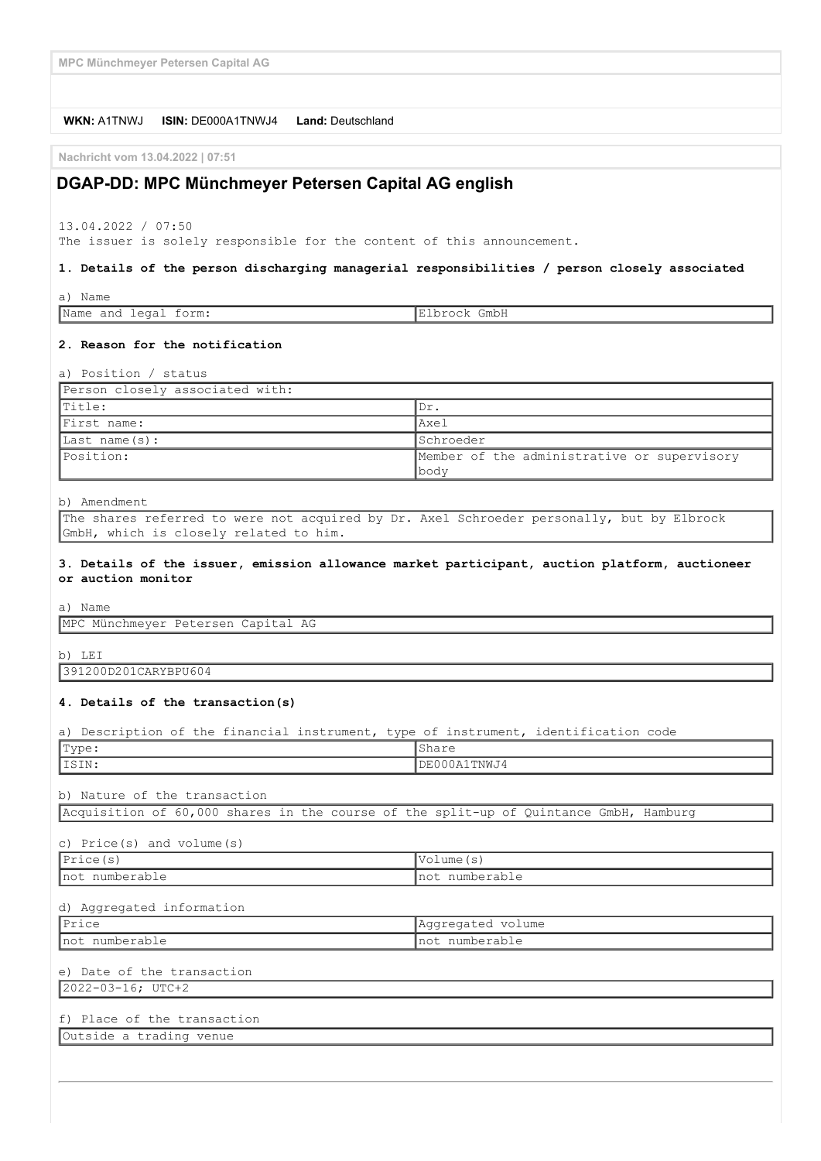**MPC Münchmeyer Petersen Capital AG**

#### **WKN:** A1TNWJ **ISIN:** DE000A1TNWJ4 **Land:** Deutschland

**Nachricht vom 13.04.2022 | 07:51**

## **DGAP-DD: MPC Münchmeyer Petersen Capital AG english**

13.04.2022 / 07:50

The issuer is solely responsible for the content of this announcement.

#### **1. Details of the person discharging managerial responsibilities / person closely associated**

| $\sim$<br>$\rightarrow$<br>ι απιε<br>ີ<br>$\sim$  |      |
|---------------------------------------------------|------|
| Nam<br>$\triangle$<br>rm:<br>ını<br>$\sim$ $\sim$ | smb. |

#### **2. Reason for the notification**

a) Position / status

| Person closely associated with: |                                             |
|---------------------------------|---------------------------------------------|
| Title:                          | 'Dr.                                        |
| First name:                     | Axel                                        |
| $\vert$ Last name $(s)$ :       | <b>I</b> Schroeder                          |
| Position:                       | Member of the administrative or supervisory |
|                                 | lbody                                       |

#### b) Amendment

The shares referred to were not acquired by Dr. Axel Schroeder personally, but by Elbrock GmbH, which is closely related to him.

#### **3. Details of the issuer, emission allowance market participant, auction platform, auctioneer or auction monitor**

a) Name

MPC Münchmeyer Petersen Capital AG

b) LEI

391200D201CARYBPU604

#### **4. Details of the transaction(s)**

a) Description of the financial instrument, type of instrument, identification code

| Type:                        | IShare       |  |
|------------------------------|--------------|--|
| IISIN:                       | DE000A1TNWJ4 |  |
| b) Nature of the transaction |              |  |

Acquisition of 60,000 shares in the course of the split-up of Quintance GmbH, Hamburg

#### c) Price(s) and volume(s)

| $\mathsf{L}$            | 1.700c     |
|-------------------------|------------|
| $\mathbf{F} \mathbf{P}$ | ≛V∪⊥       |
| ∥ ⊥ ⊥ ⊥ ∪ ⊂ ( د )       | une        |
| Inot                    | Inot       |
| numberable              | numberable |
| .                       | .          |

### d) Aggregated information

| 12r<br>-------                                | volume<br>$-1$<br>$\sim$ $\sim$<br><b>I</b> AGULEUQUEU |
|-----------------------------------------------|--------------------------------------------------------|
| Inot<br>numhe.<br>$11$ and $-1$ and $-1$<br>. | numberable<br>. IIO L<br>.<br>_____                    |

# e) Date of the transaction

2022-03-16; UTC+2

# f) Place of the transaction

Outside a trading venue